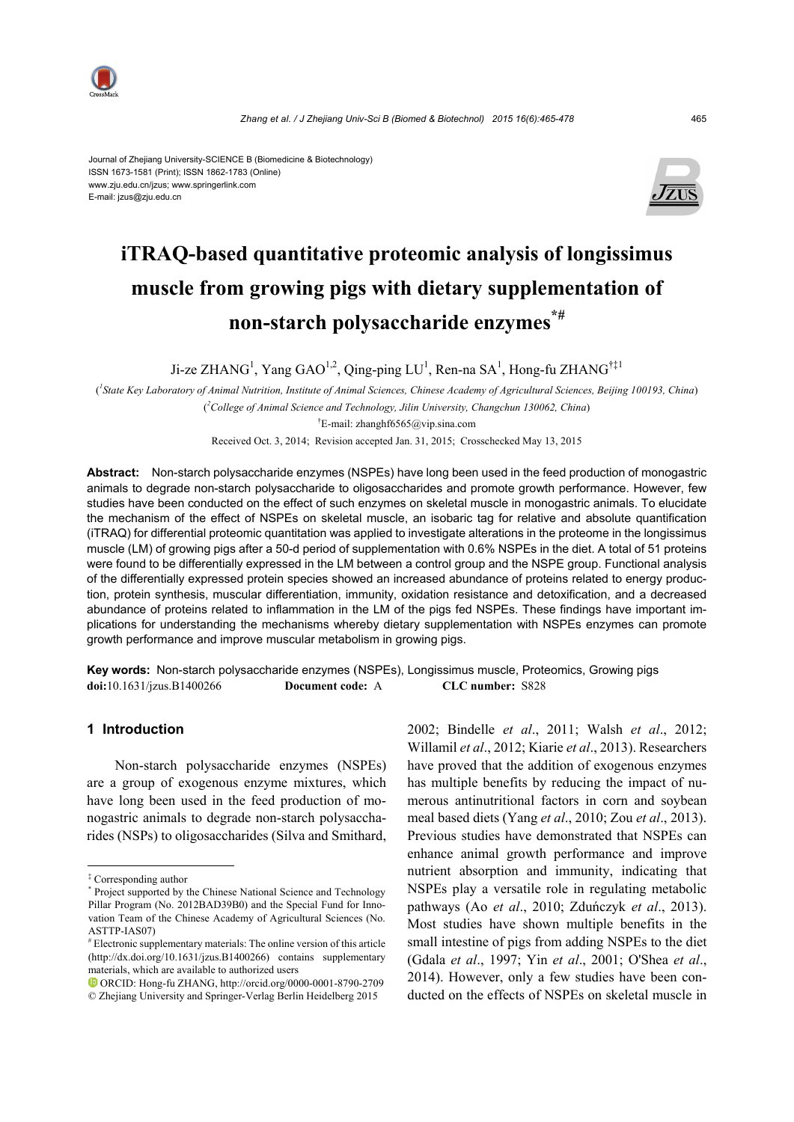

Journal of Zhejiang University-SCIENCE B (Biomedicine & Biotechnology) ISSN 1673-1581 (Print); ISSN 1862-1783 (Online) www.zju.edu.cn/jzus; www.springerlink.com E-mail: jzus@zju.edu.cn



# **iTRAQ-based quantitative proteomic analysis of longissimus muscle from growing pigs with dietary supplementation of non-starch polysaccharide enzymes\*#**

Ji-ze ZHANG<sup>1</sup>, Yang GAO<sup>1,2</sup>, Qing-ping LU<sup>1</sup>, Ren-na SA<sup>1</sup>, Hong-fu ZHANG<sup>†‡1</sup>

( *1 State Key Laboratory of Animal Nutrition, Institute of Animal Sciences, Chinese Academy of Agricultural Sciences, Beijing 100193, China*) ( *2 College of Animal Science and Technology, Jilin University, Changchun 130062, China*) † E-mail: zhanghf6565@vip.sina.com

Received Oct. 3, 2014; Revision accepted Jan. 31, 2015; Crosschecked May 13, 2015

**Abstract:** Non-starch polysaccharide enzymes (NSPEs) have long been used in the feed production of monogastric animals to degrade non-starch polysaccharide to oligosaccharides and promote growth performance. However, few studies have been conducted on the effect of such enzymes on skeletal muscle in monogastric animals. To elucidate the mechanism of the effect of NSPEs on skeletal muscle, an isobaric tag for relative and absolute quantification (iTRAQ) for differential proteomic quantitation was applied to investigate alterations in the proteome in the longissimus muscle (LM) of growing pigs after a 50-d period of supplementation with 0.6% NSPEs in the diet. A total of 51 proteins were found to be differentially expressed in the LM between a control group and the NSPE group. Functional analysis of the differentially expressed protein species showed an increased abundance of proteins related to energy production, protein synthesis, muscular differentiation, immunity, oxidation resistance and detoxification, and a decreased abundance of proteins related to inflammation in the LM of the pigs fed NSPEs. These findings have important implications for understanding the mechanisms whereby dietary supplementation with NSPEs enzymes can promote growth performance and improve muscular metabolism in growing pigs.

**Key words:** Non-starch polysaccharide enzymes (NSPEs), Longissimus muscle, Proteomics, Growing pigs **doi:**10.1631/jzus.B1400266 **Document code:** A **CLC number:** S828

# **1 Introduction**

Non-starch polysaccharide enzymes (NSPEs) are a group of exogenous enzyme mixtures, which have long been used in the feed production of monogastric animals to degrade non-starch polysaccharides (NSPs) to oligosaccharides (Silva and Smithard, 2002; Bindelle *et al*., 2011; Walsh *et al*., 2012; Willamil *et al*., 2012; Kiarie *et al*., 2013). Researchers have proved that the addition of exogenous enzymes has multiple benefits by reducing the impact of numerous antinutritional factors in corn and soybean meal based diets (Yang *et al*., 2010; Zou *et al*., 2013). Previous studies have demonstrated that NSPEs can enhance animal growth performance and improve nutrient absorption and immunity, indicating that NSPEs play a versatile role in regulating metabolic pathways (Ao *et al*., 2010; Zduńczyk *et al*., 2013). Most studies have shown multiple benefits in the small intestine of pigs from adding NSPEs to the diet (Gdala *et al*., 1997; Yin *et al*., 2001; O'Shea *et al*., 2014). However, only a few studies have been conducted on the effects of NSPEs on skeletal muscle in

<sup>‡</sup> Corresponding author

<sup>\*</sup> Project supported by the Chinese National Science and Technology Pillar Program (No. 2012BAD39B0) and the Special Fund for Innovation Team of the Chinese Academy of Agricultural Sciences (No. ASTTP-IAS07)

<sup>#</sup> Electronic supplementary materials: The online version of this article (http://dx.doi.org/10.1631/jzus.B1400266) contains supplementary materials, which are available to authorized users

ORCID: Hong-fu ZHANG, http://orcid.org/0000-0001-8790-2709 © Zhejiang University and Springer-Verlag Berlin Heidelberg 2015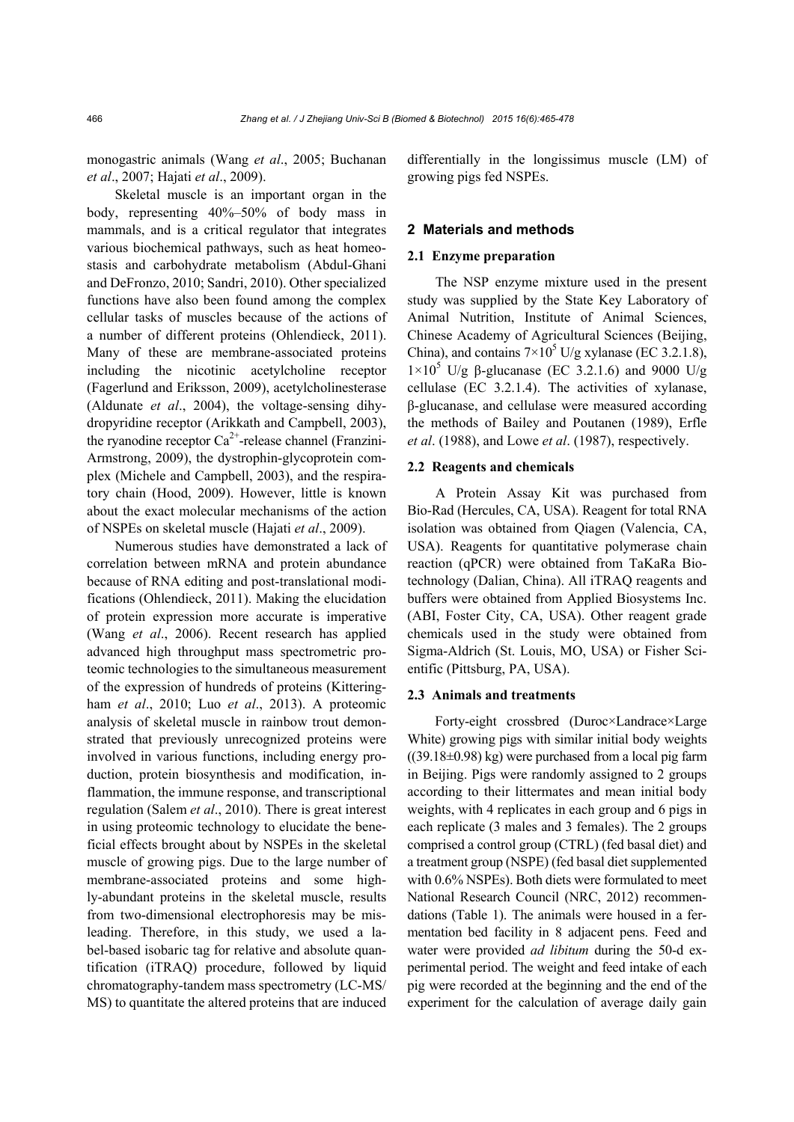monogastric animals (Wang *et al*., 2005; Buchanan *et al*., 2007; Hajati *et al*., 2009).

Skeletal muscle is an important organ in the body, representing 40%–50% of body mass in mammals, and is a critical regulator that integrates various biochemical pathways, such as heat homeostasis and carbohydrate metabolism (Abdul-Ghani and DeFronzo, 2010; Sandri, 2010). Other specialized functions have also been found among the complex cellular tasks of muscles because of the actions of a number of different proteins (Ohlendieck, 2011). Many of these are membrane-associated proteins including the nicotinic acetylcholine receptor (Fagerlund and Eriksson, 2009), acetylcholinesterase (Aldunate *et al*., 2004), the voltage-sensing dihydropyridine receptor (Arikkath and Campbell, 2003), the ryanodine receptor  $Ca^{2+}$ -release channel (Franzini-Armstrong, 2009), the dystrophin-glycoprotein complex (Michele and Campbell, 2003), and the respiratory chain (Hood, 2009). However, little is known about the exact molecular mechanisms of the action of NSPEs on skeletal muscle (Hajati *et al*., 2009).

Numerous studies have demonstrated a lack of correlation between mRNA and protein abundance because of RNA editing and post-translational modifications (Ohlendieck, 2011). Making the elucidation of protein expression more accurate is imperative (Wang *et al*., 2006). Recent research has applied advanced high throughput mass spectrometric proteomic technologies to the simultaneous measurement of the expression of hundreds of proteins (Kitteringham *et al*., 2010; Luo *et al*., 2013). A proteomic analysis of skeletal muscle in rainbow trout demonstrated that previously unrecognized proteins were involved in various functions, including energy production, protein biosynthesis and modification, inflammation, the immune response, and transcriptional regulation (Salem *et al*., 2010). There is great interest in using proteomic technology to elucidate the beneficial effects brought about by NSPEs in the skeletal muscle of growing pigs. Due to the large number of membrane-associated proteins and some highly-abundant proteins in the skeletal muscle, results from two-dimensional electrophoresis may be misleading. Therefore, in this study, we used a label-based isobaric tag for relative and absolute quantification (iTRAQ) procedure, followed by liquid chromatography-tandem mass spectrometry (LC-MS/ MS) to quantitate the altered proteins that are induced differentially in the longissimus muscle (LM) of growing pigs fed NSPEs.

### **2 Materials and methods**

#### **2.1 Enzyme preparation**

The NSP enzyme mixture used in the present study was supplied by the State Key Laboratory of Animal Nutrition, Institute of Animal Sciences, Chinese Academy of Agricultural Sciences (Beijing, China), and contains  $7 \times 10^5$  U/g xylanase (EC 3.2.1.8),  $1\times10^5$  U/g β-glucanase (EC 3.2.1.6) and 9000 U/g cellulase (EC 3.2.1.4). The activities of xylanase, β-glucanase, and cellulase were measured according the methods of Bailey and Poutanen (1989), Erfle *et al*. (1988), and Lowe *et al*. (1987), respectively.

### **2.2 Reagents and chemicals**

A Protein Assay Kit was purchased from Bio-Rad (Hercules, CA, USA). Reagent for total RNA isolation was obtained from Qiagen (Valencia, CA, USA). Reagents for quantitative polymerase chain reaction (qPCR) were obtained from TaKaRa Biotechnology (Dalian, China). All iTRAQ reagents and buffers were obtained from Applied Biosystems Inc. (ABI, Foster City, CA, USA). Other reagent grade chemicals used in the study were obtained from Sigma-Aldrich (St. Louis, MO, USA) or Fisher Scientific (Pittsburg, PA, USA).

# **2.3 Animals and treatments**

Forty-eight crossbred (Duroc×Landrace×Large White) growing pigs with similar initial body weights  $((39.18\pm0.98)$  kg) were purchased from a local pig farm in Beijing. Pigs were randomly assigned to 2 groups according to their littermates and mean initial body weights, with 4 replicates in each group and 6 pigs in each replicate (3 males and 3 females). The 2 groups comprised a control group (CTRL) (fed basal diet) and a treatment group (NSPE) (fed basal diet supplemented with 0.6% NSPEs). Both diets were formulated to meet National Research Council (NRC, 2012) recommendations (Table 1). The animals were housed in a fermentation bed facility in 8 adjacent pens. Feed and water were provided *ad libitum* during the 50-d experimental period. The weight and feed intake of each pig were recorded at the beginning and the end of the experiment for the calculation of average daily gain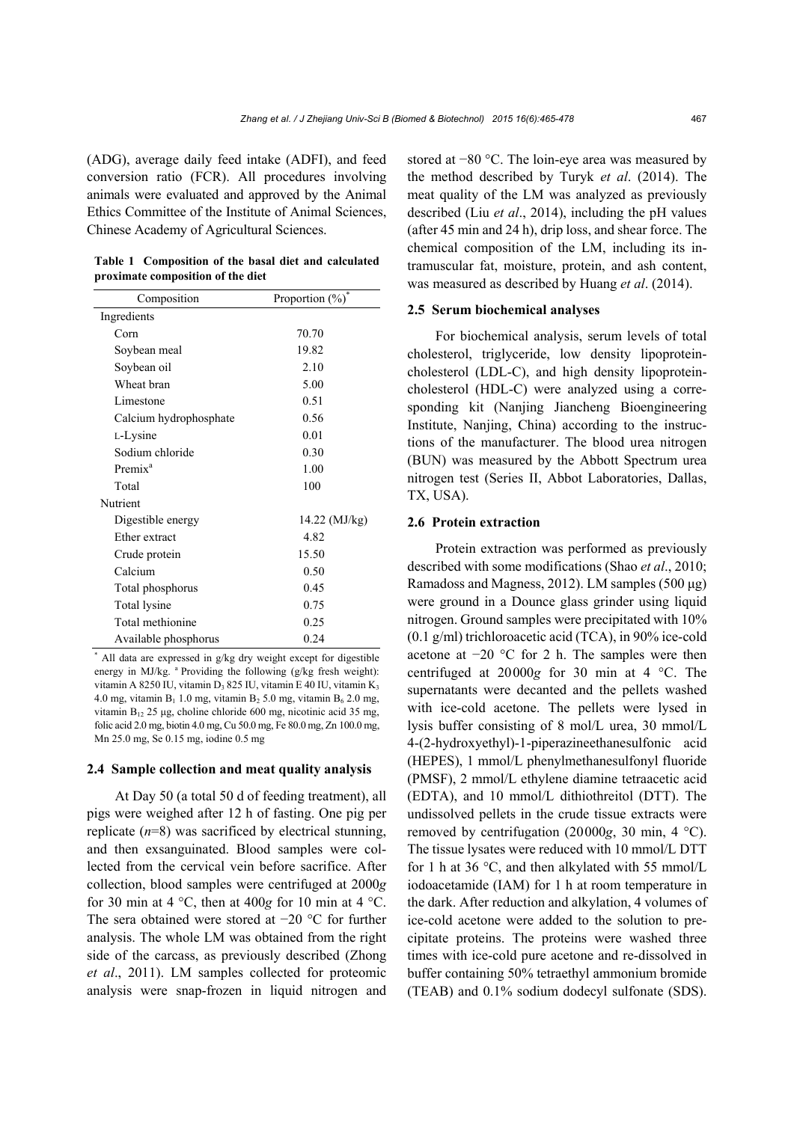(ADG), average daily feed intake (ADFI), and feed conversion ratio (FCR). All procedures involving animals were evaluated and approved by the Animal Ethics Committee of the Institute of Animal Sciences, Chinese Academy of Agricultural Sciences.

| Table 1 Composition of the basal diet and calculated |  |  |  |
|------------------------------------------------------|--|--|--|
| proximate composition of the diet                    |  |  |  |

| Composition            | Proportion $(\%)$ |
|------------------------|-------------------|
| Ingredients            |                   |
| Corn                   | 70.70             |
| Soybean meal           | 19.82             |
| Soybean oil            | 2.10              |
| Wheat bran             | 5.00              |
| Limestone              | 0.51              |
| Calcium hydrophosphate | 0.56              |
| L-Lysine               | 0.01              |
| Sodium chloride        | 0.30              |
| Premix <sup>a</sup>    | 1.00              |
| Total                  | 100               |
| Nutrient               |                   |
| Digestible energy      | 14.22 (MJ/kg)     |
| Ether extract          | 4.82              |
| Crude protein          | 15.50             |
| Calcium                | 0.50              |
| Total phosphorus       | 0.45              |
| Total lysine           | 0.75              |
| Total methionine       | 0.25              |
| Available phosphorus   | 0.24              |

\* All data are expressed in g/kg dry weight except for digestible energy in MJ/kg. <sup>a</sup> Providing the following (g/kg fresh weight): vitamin A 8250 IU, vitamin D<sub>3</sub> 825 IU, vitamin E 40 IU, vitamin K<sub>3</sub> 4.0 mg, vitamin  $B_1$  1.0 mg, vitamin  $B_2$  5.0 mg, vitamin  $B_6$  2.0 mg, vitamin B12 25 μg, choline chloride 600 mg, nicotinic acid 35 mg, folic acid 2.0 mg, biotin 4.0 mg, Cu 50.0 mg, Fe 80.0 mg, Zn 100.0 mg, Mn 25.0 mg, Se 0.15 mg, iodine 0.5 mg

#### **2.4 Sample collection and meat quality analysis**

At Day 50 (a total 50 d of feeding treatment), all pigs were weighed after 12 h of fasting. One pig per replicate (*n*=8) was sacrificed by electrical stunning, and then exsanguinated. Blood samples were collected from the cervical vein before sacrifice. After collection, blood samples were centrifuged at 2000*g* for 30 min at 4  $^{\circ}$ C, then at 400*g* for 10 min at 4  $^{\circ}$ C. The sera obtained were stored at −20 °C for further analysis. The whole LM was obtained from the right side of the carcass, as previously described (Zhong *et al*., 2011). LM samples collected for proteomic analysis were snap-frozen in liquid nitrogen and stored at −80 °C. The loin-eye area was measured by the method described by Turyk *et al*. (2014). The meat quality of the LM was analyzed as previously described (Liu *et al*., 2014), including the pH values (after 45 min and 24 h), drip loss, and shear force. The chemical composition of the LM, including its intramuscular fat, moisture, protein, and ash content, was measured as described by Huang *et al*. (2014).

#### **2.5 Serum biochemical analyses**

For biochemical analysis, serum levels of total cholesterol, triglyceride, low density lipoproteincholesterol (LDL-C), and high density lipoproteincholesterol (HDL-C) were analyzed using a corresponding kit (Nanjing Jiancheng Bioengineering Institute, Nanjing, China) according to the instructions of the manufacturer. The blood urea nitrogen (BUN) was measured by the Abbott Spectrum urea nitrogen test (Series II, Abbot Laboratories, Dallas, TX, USA).

### **2.6 Protein extraction**

Protein extraction was performed as previously described with some modifications (Shao *et al*., 2010; Ramadoss and Magness, 2012). LM samples (500 μg) were ground in a Dounce glass grinder using liquid nitrogen. Ground samples were precipitated with 10% (0.1 g/ml) trichloroacetic acid (TCA), in 90% ice-cold acetone at −20 °C for 2 h. The samples were then centrifuged at 20000*g* for 30 min at 4 °C. The supernatants were decanted and the pellets washed with ice-cold acetone. The pellets were lysed in lysis buffer consisting of 8 mol/L urea, 30 mmol/L 4-(2-hydroxyethyl)-1-piperazineethanesulfonic acid (HEPES), 1 mmol/L phenylmethanesulfonyl fluoride (PMSF), 2 mmol/L ethylene diamine tetraacetic acid (EDTA), and 10 mmol/L dithiothreitol (DTT). The undissolved pellets in the crude tissue extracts were removed by centrifugation (20000*g*, 30 min, 4 °C). The tissue lysates were reduced with 10 mmol/L DTT for 1 h at 36  $\degree$ C, and then alkylated with 55 mmol/L iodoacetamide (IAM) for 1 h at room temperature in the dark. After reduction and alkylation, 4 volumes of ice-cold acetone were added to the solution to precipitate proteins. The proteins were washed three times with ice-cold pure acetone and re-dissolved in buffer containing 50% tetraethyl ammonium bromide (TEAB) and 0.1% sodium dodecyl sulfonate (SDS).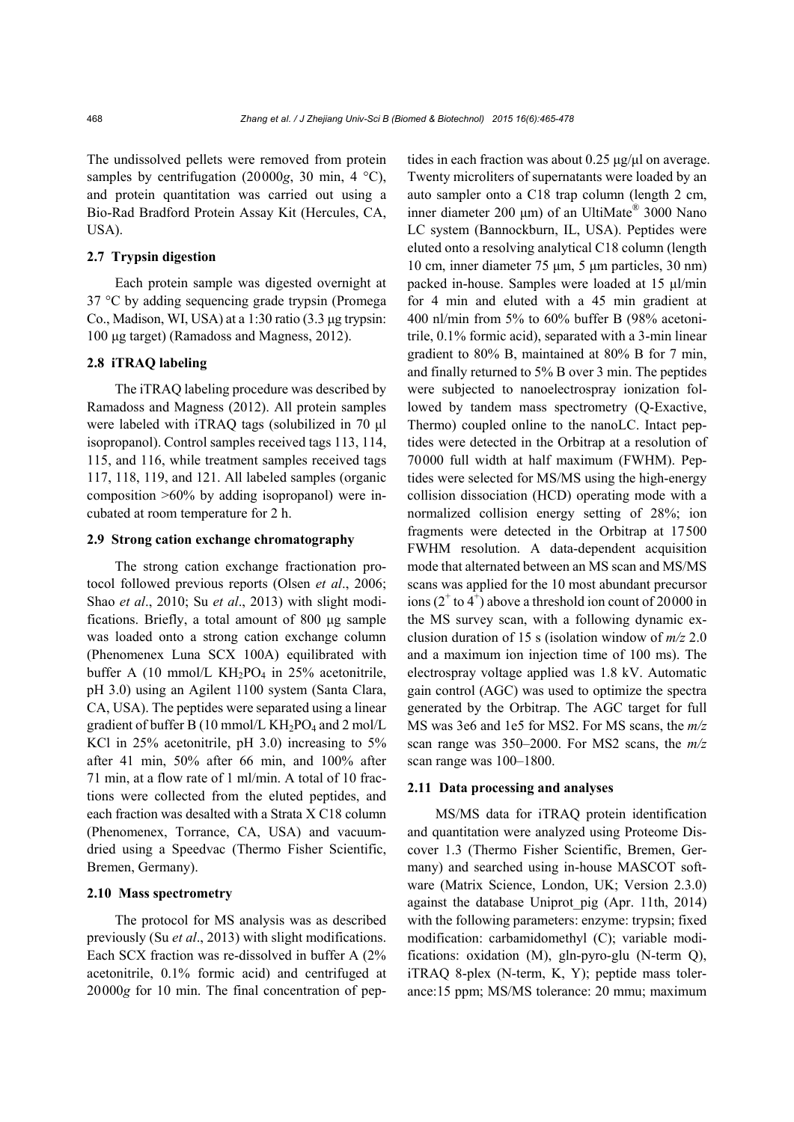The undissolved pellets were removed from protein samples by centrifugation (20000*g*, 30 min, 4 °C), and protein quantitation was carried out using a Bio-Rad Bradford Protein Assay Kit (Hercules, CA, USA).

## **2.7 Trypsin digestion**

Each protein sample was digested overnight at 37 °C by adding sequencing grade trypsin (Promega Co., Madison, WI, USA) at a 1:30 ratio (3.3 μg trypsin: 100 μg target) (Ramadoss and Magness, 2012).

# **2.8 iTRAQ labeling**

The iTRAQ labeling procedure was described by Ramadoss and Magness (2012). All protein samples were labeled with iTRAQ tags (solubilized in 70 μl isopropanol). Control samples received tags 113, 114, 115, and 116, while treatment samples received tags 117, 118, 119, and 121. All labeled samples (organic composition >60% by adding isopropanol) were incubated at room temperature for 2 h.

# **2.9 Strong cation exchange chromatography**

The strong cation exchange fractionation protocol followed previous reports (Olsen *et al*., 2006; Shao *et al*., 2010; Su *et al*., 2013) with slight modifications. Briefly, a total amount of 800 μg sample was loaded onto a strong cation exchange column (Phenomenex Luna SCX 100A) equilibrated with buffer A (10 mmol/L  $KH_2PO_4$  in 25% acetonitrile, pH 3.0) using an Agilent 1100 system (Santa Clara, CA, USA). The peptides were separated using a linear gradient of buffer B (10 mmol/L  $KH_2PO_4$  and 2 mol/L KCl in 25% acetonitrile, pH 3.0) increasing to 5% after 41 min, 50% after 66 min, and 100% after 71 min, at a flow rate of 1 ml/min. A total of 10 fractions were collected from the eluted peptides, and each fraction was desalted with a Strata X C18 column (Phenomenex, Torrance, CA, USA) and vacuumdried using a Speedvac (Thermo Fisher Scientific, Bremen, Germany).

# **2.10 Mass spectrometry**

The protocol for MS analysis was as described previously (Su *et al*., 2013) with slight modifications. Each SCX fraction was re-dissolved in buffer A (2% acetonitrile, 0.1% formic acid) and centrifuged at 20000*g* for 10 min. The final concentration of peptides in each fraction was about 0.25 μg/μl on average. Twenty microliters of supernatants were loaded by an auto sampler onto a C18 trap column (length 2 cm, inner diameter 200 μm) of an UltiMate<sup>®</sup> 3000 Nano LC system (Bannockburn, IL, USA). Peptides were eluted onto a resolving analytical C18 column (length 10 cm, inner diameter 75 μm, 5 μm particles, 30 nm) packed in-house. Samples were loaded at 15 μl/min for 4 min and eluted with a 45 min gradient at 400 nl/min from 5% to 60% buffer B (98% acetonitrile, 0.1% formic acid), separated with a 3-min linear gradient to 80% B, maintained at 80% B for 7 min, and finally returned to 5% B over 3 min. The peptides were subjected to nanoelectrospray ionization followed by tandem mass spectrometry (Q-Exactive, Thermo) coupled online to the nanoLC. Intact peptides were detected in the Orbitrap at a resolution of 70000 full width at half maximum (FWHM). Peptides were selected for MS/MS using the high-energy collision dissociation (HCD) operating mode with a normalized collision energy setting of 28%; ion fragments were detected in the Orbitrap at 17500 FWHM resolution. A data-dependent acquisition mode that alternated between an MS scan and MS/MS scans was applied for the 10 most abundant precursor ions  $(2<sup>+</sup>$  to  $4<sup>+</sup>)$  above a threshold ion count of 20000 in the MS survey scan, with a following dynamic exclusion duration of 15 s (isolation window of *m/z* 2.0 and a maximum ion injection time of 100 ms). The electrospray voltage applied was 1.8 kV. Automatic gain control (AGC) was used to optimize the spectra generated by the Orbitrap. The AGC target for full MS was 3e6 and 1e5 for MS2. For MS scans, the *m/z* scan range was 350–2000. For MS2 scans, the *m/z* scan range was 100–1800.

### **2.11 Data processing and analyses**

MS/MS data for iTRAQ protein identification and quantitation were analyzed using Proteome Discover 1.3 (Thermo Fisher Scientific, Bremen, Germany) and searched using in-house MASCOT software (Matrix Science, London, UK; Version 2.3.0) against the database Uniprot\_pig (Apr. 11th, 2014) with the following parameters: enzyme: trypsin; fixed modification: carbamidomethyl (C); variable modifications: oxidation (M), gln-pyro-glu (N-term Q), iTRAQ 8-plex (N-term, K, Y); peptide mass tolerance:15 ppm; MS/MS tolerance: 20 mmu; maximum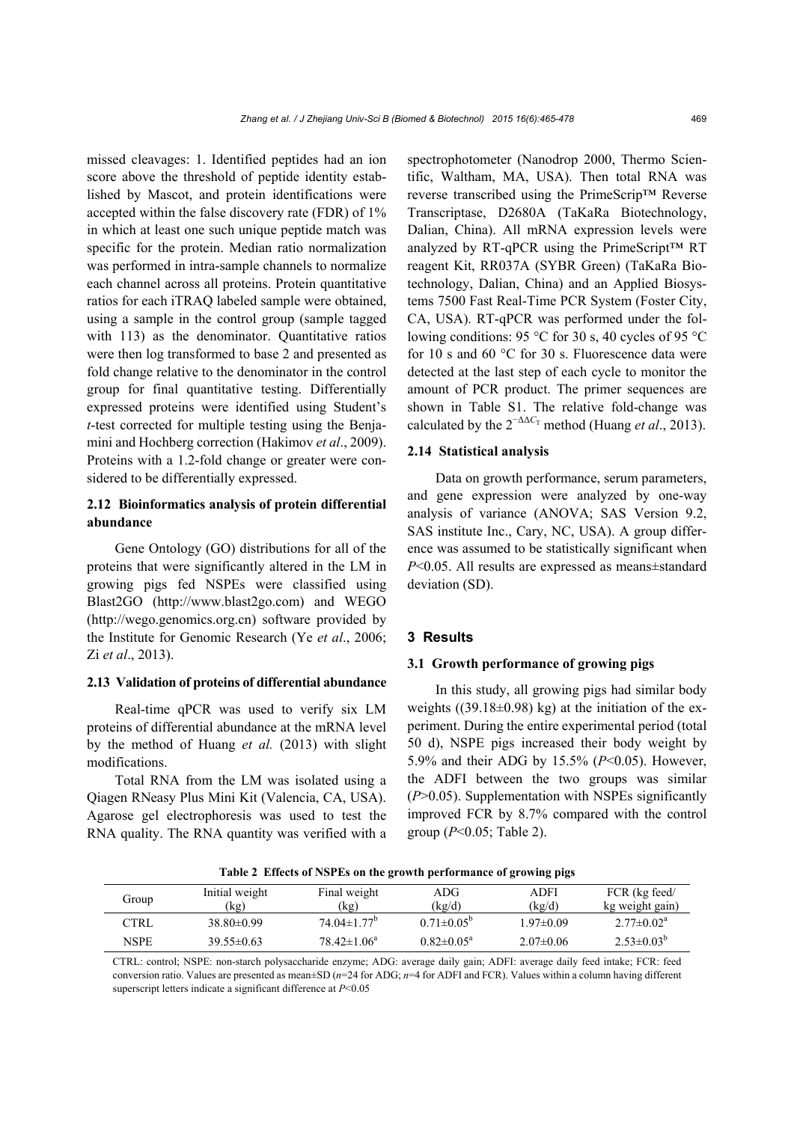missed cleavages: 1. Identified peptides had an ion score above the threshold of peptide identity established by Mascot, and protein identifications were accepted within the false discovery rate (FDR) of 1% in which at least one such unique peptide match was specific for the protein. Median ratio normalization was performed in intra-sample channels to normalize each channel across all proteins. Protein quantitative ratios for each iTRAQ labeled sample were obtained, using a sample in the control group (sample tagged with 113) as the denominator. Quantitative ratios were then log transformed to base 2 and presented as fold change relative to the denominator in the control group for final quantitative testing. Differentially expressed proteins were identified using Student's *t*-test corrected for multiple testing using the Benjamini and Hochberg correction (Hakimov *et al*., 2009). Proteins with a 1.2-fold change or greater were considered to be differentially expressed.

# **2.12 Bioinformatics analysis of protein differential abundance**

Gene Ontology (GO) distributions for all of the proteins that were significantly altered in the LM in growing pigs fed NSPEs were classified using Blast2GO (http://www.blast2go.com) and WEGO (http://wego.genomics.org.cn) software provided by the Institute for Genomic Research (Ye *et al*., 2006; Zi *et al*., 2013).

# **2.13 Validation of proteins of differential abundance**

Real-time qPCR was used to verify six LM proteins of differential abundance at the mRNA level by the method of Huang *et al.* (2013) with slight modifications.

Total RNA from the LM was isolated using a Qiagen RNeasy Plus Mini Kit (Valencia, CA, USA). Agarose gel electrophoresis was used to test the RNA quality. The RNA quantity was verified with a spectrophotometer (Nanodrop 2000, Thermo Scientific, Waltham, MA, USA). Then total RNA was reverse transcribed using the PrimeScrip™ Reverse Transcriptase, D2680A (TaKaRa Biotechnology, Dalian, China). All mRNA expression levels were analyzed by RT-qPCR using the PrimeScript™ RT reagent Kit, RR037A (SYBR Green) (TaKaRa Biotechnology, Dalian, China) and an Applied Biosystems 7500 Fast Real-Time PCR System (Foster City, CA, USA). RT-qPCR was performed under the following conditions: 95 °C for 30 s, 40 cycles of 95 °C for 10 s and 60 °C for 30 s. Fluorescence data were detected at the last step of each cycle to monitor the amount of PCR product. The primer sequences are shown in Table S1. The relative fold-change was calculated by the  $2^{-\Delta\Delta C_T}$  method (Huang *et al.*, 2013).

#### **2.14 Statistical analysis**

Data on growth performance, serum parameters, and gene expression were analyzed by one-way analysis of variance (ANOVA; SAS Version 9.2, SAS institute Inc., Cary, NC, USA). A group difference was assumed to be statistically significant when *P*<0.05. All results are expressed as means±standard deviation (SD).

# **3 Results**

## **3.1 Growth performance of growing pigs**

In this study, all growing pigs had similar body weights  $((39.18\pm0.98)$  kg) at the initiation of the experiment. During the entire experimental period (total 50 d), NSPE pigs increased their body weight by 5.9% and their ADG by 15.5% (*P*<0.05). However, the ADFI between the two groups was similar (*P*>0.05). Supplementation with NSPEs significantly improved FCR by 8.7% compared with the control group (*P*<0.05; Table 2).

| Group | Initial weight<br>(kg) | Final weight<br>(kg)          | ADG.<br>(kg/d)             | ADFI<br>(kg/d) | FCR (kg feed/<br>kg weight gain) |
|-------|------------------------|-------------------------------|----------------------------|----------------|----------------------------------|
| CTRL  | $38.80\pm0.99$         | $74.04 \pm 1.77$ <sup>b</sup> | $0.71 \pm 0.05^b$          | $197\pm0.09$   | $2.77 \pm 0.02^a$                |
| NSPE  | $39.55\pm0.63$         | $78.42 \pm 1.06^a$            | $0.82 \pm 0.05^{\text{a}}$ | $2.07\pm0.06$  | $2.53 \pm 0.03^b$                |

**Table 2 Effects of NSPEs on the growth performance of growing pigs**

CTRL: control; NSPE: non-starch polysaccharide enzyme; ADG: average daily gain; ADFI: average daily feed intake; FCR: feed conversion ratio. Values are presented as mean±SD (*n*=24 for ADG; *n*=4 for ADFI and FCR). Values within a column having different superscript letters indicate a significant difference at *P*<0.05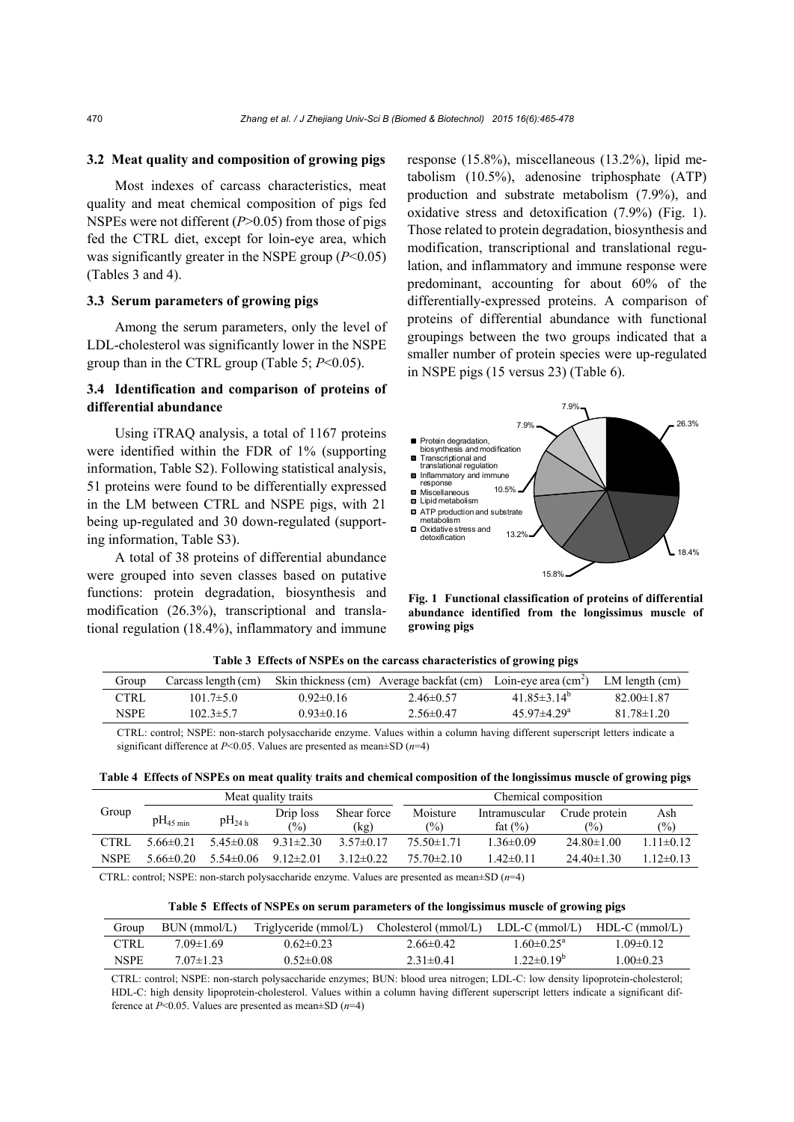### **3.2 Meat quality and composition of growing pigs**

Most indexes of carcass characteristics, meat quality and meat chemical composition of pigs fed NSPEs were not different (*P*>0.05) from those of pigs fed the CTRL diet, except for loin-eye area, which was significantly greater in the NSPE group (*P*<0.05) (Tables 3 and 4).

# **3.3 Serum parameters of growing pigs**

Among the serum parameters, only the level of LDL-cholesterol was significantly lower in the NSPE group than in the CTRL group (Table 5; *P*<0.05).

# **3.4 Identification and comparison of proteins of differential abundance**

Using iTRAQ analysis, a total of 1167 proteins were identified within the FDR of 1% (supporting information, Table S2). Following statistical analysis, 51 proteins were found to be differentially expressed in the LM between CTRL and NSPE pigs, with 21 being up-regulated and 30 down-regulated (supporting information, Table S3).

A total of 38 proteins of differential abundance were grouped into seven classes based on putative functions: protein degradation, biosynthesis and modification (26.3%), transcriptional and translational regulation (18.4%), inflammatory and immune response (15.8%), miscellaneous (13.2%), lipid metabolism (10.5%), adenosine triphosphate (ATP) production and substrate metabolism (7.9%), and oxidative stress and detoxification (7.9%) (Fig. 1). Those related to protein degradation, biosynthesis and modification, transcriptional and translational regulation, and inflammatory and immune response were predominant, accounting for about 60% of the differentially-expressed proteins. A comparison of proteins of differential abundance with functional groupings between the two groups indicated that a smaller number of protein species were up-regulated in NSPE pigs (15 versus 23) (Table 6).



**Fig. 1 Functional classification of proteins of differential abundance identified from the longissimus muscle of growing pigs**

|             |                     |               | Table & Effects of Foll Es on the carcass characteristics of growing pigs |                               |                  |
|-------------|---------------------|---------------|---------------------------------------------------------------------------|-------------------------------|------------------|
| Group       | Carcass length (cm) |               | Skin thickness (cm) Average backfat (cm) Loin-eye area (cm <sup>2</sup> ) |                               | LM length $(cm)$ |
| CTRL        | $101.7 \pm 5.0$     | $0.92\pm0.16$ | $2.46\pm 0.57$                                                            | 41.85 $\pm$ 3.14 <sup>°</sup> | $82.00 \pm 1.87$ |
| <b>NSPE</b> | $102.3 \pm 5.7$     | $0.93\pm0.16$ | $2.56\pm0.47$                                                             | 45 97 $\pm$ 4 29 <sup>a</sup> | $81.78 \pm 1.20$ |

**Table 3 Effects of NSPEs on the carcass characteristics of growing pigs**

CTRL: control; NSPE: non-starch polysaccharide enzyme. Values within a column having different superscript letters indicate a significant difference at *P*<0.05. Values are presented as mean±SD (*n*=4)

| Table 4 Effects of NSPEs on meat quality traits and chemical composition of the longissimus muscle of growing pigs |  |  |  |  |
|--------------------------------------------------------------------------------------------------------------------|--|--|--|--|
|                                                                                                                    |  |  |  |  |

|             |                       |               | Meat quality traits |               |                  | Chemical composition |                  |                 |
|-------------|-----------------------|---------------|---------------------|---------------|------------------|----------------------|------------------|-----------------|
| Group       | $pH_{45 \text{ min}}$ | $pH_{24h}$    | Drip loss           | Shear force   | Moisture         | Intramuscular        | Crude protein    | Ash             |
|             |                       |               | $\frac{9}{0}$       | (kg)          | $(\%)$           | fat $(\% )$          | $\frac{6}{2}$    | $\frac{6}{2}$   |
| <b>CTRL</b> | $5.66 \pm 0.21$       | $5.45\pm0.08$ | $9.31 \pm 2.30$     | $3.57\pm0.17$ | $75.50 \pm 1.71$ | $1.36 \pm 0.09$      | $24.80 \pm 1.00$ | $1.11 \pm 0.12$ |
| NSPE        | $566\pm0.20$          | $5.54\pm0.06$ | $9.12 \pm 2.01$     | $3.12\pm0.22$ | $75.70 \pm 2.10$ | 1 42±0 11            | $24.40 \pm 1.30$ | $1.12\pm0.13$   |
|             |                       |               |                     |               |                  |                      |                  |                 |

CTRL: control; NSPE: non-starch polysaccharide enzyme. Values are presented as mean±SD (*n*=4)

#### **Table 5 Effects of NSPEs on serum parameters of the longissimus muscle of growing pigs**

| Group       | BUN (mmol/L)  |                 | Triglyceride (mmol/L) Cholesterol (mmol/L) LDL-C (mmol/L) |                         | $HDL-C (mmol/L)$ |
|-------------|---------------|-----------------|-----------------------------------------------------------|-------------------------|------------------|
| <b>CTRL</b> | 7.09±1.69     | $0.62 \pm 0.23$ | $2.66 \pm 0.42$                                           | $60\pm0.25^{\circ}$     | $1.09 \pm 0.12$  |
| <b>NSPE</b> | $7.07\pm1.23$ | $0.52 \pm 0.08$ | $2.31 \pm 0.41$                                           | $1.22 \pm 0.19^{\circ}$ | $1.00 \pm 0.23$  |

CTRL: control; NSPE: non-starch polysaccharide enzymes; BUN: blood urea nitrogen; LDL-C: low density lipoprotein-cholesterol; HDL-C: high density lipoprotein-cholesterol. Values within a column having different superscript letters indicate a significant difference at *P*<0.05. Values are presented as mean±SD (*n*=4)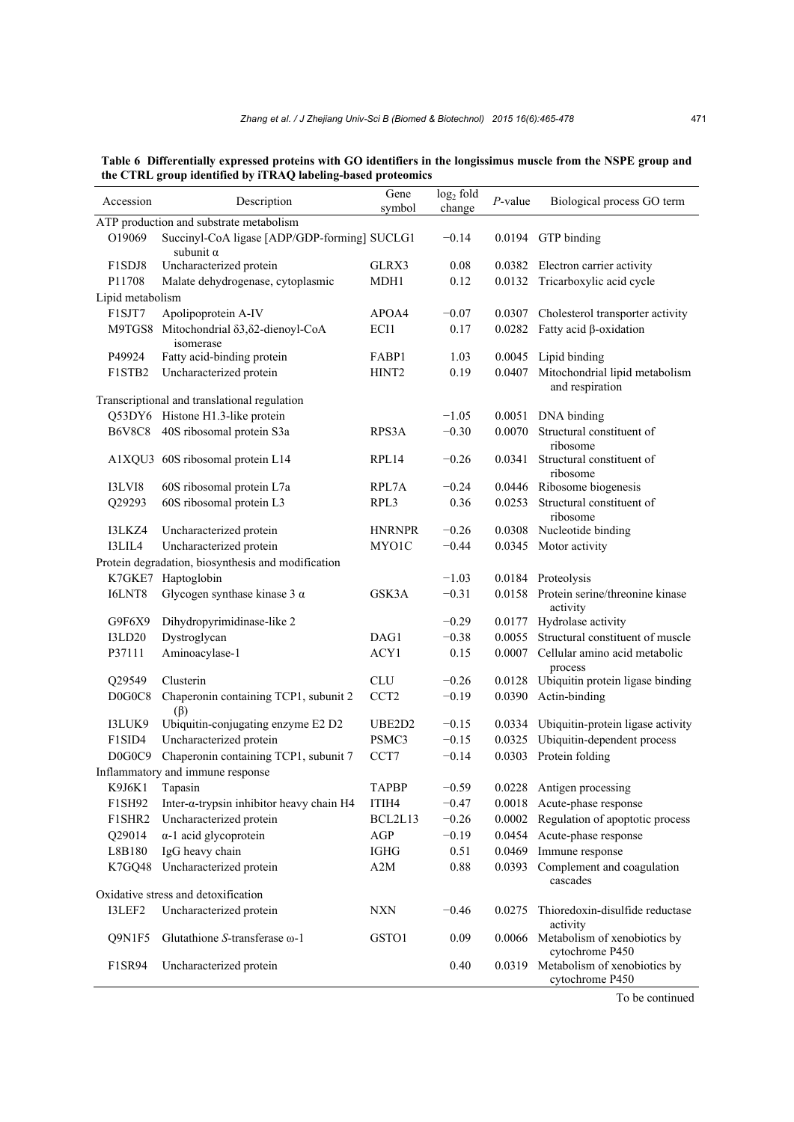**Table 6 Differentially expressed proteins with GO identifiers in the longissimus muscle from the NSPE group and the CTRL group identified by iTRAQ labeling-based proteomics** 

| Accession        | Description                                                      | Gene<br>symbol    | log <sub>2</sub> fold<br>change | $P$ -value | Biological process GO term                             |
|------------------|------------------------------------------------------------------|-------------------|---------------------------------|------------|--------------------------------------------------------|
|                  | ATP production and substrate metabolism                          |                   |                                 |            |                                                        |
| O19069           | Succinyl-CoA ligase [ADP/GDP-forming] SUCLG1<br>subunit $\alpha$ |                   | $-0.14$                         |            | 0.0194 GTP binding                                     |
| F1SDJ8           | Uncharacterized protein                                          | GLRX3             | 0.08                            |            | 0.0382 Electron carrier activity                       |
| P11708           | Malate dehydrogenase, cytoplasmic                                | MDH1              | 0.12                            | 0.0132     | Tricarboxylic acid cycle                               |
| Lipid metabolism |                                                                  |                   |                                 |            |                                                        |
| F1SJT7           | Apolipoprotein A-IV                                              | APOA4             | $-0.07$                         |            | 0.0307 Cholesterol transporter activity                |
|                  | M9TGS8 Mitochondrial δ3, δ2-dienoyl-CoA<br>isomerase             | ECI1              | 0.17                            | 0.0282     | Fatty acid $\beta$ -oxidation                          |
| P49924           | Fatty acid-binding protein                                       | FABP1             | 1.03                            |            | 0.0045 Lipid binding                                   |
| F1STB2           | Uncharacterized protein                                          | HINT <sub>2</sub> | 0.19                            | 0.0407     | Mitochondrial lipid metabolism<br>and respiration      |
|                  | Transcriptional and translational regulation                     |                   |                                 |            |                                                        |
|                  | Q53DY6 Histone H1.3-like protein                                 |                   | $-1.05$                         | 0.0051     | DNA binding                                            |
| <b>B6V8C8</b>    | 40S ribosomal protein S3a                                        | RPS3A             | $-0.30$                         | 0.0070     | Structural constituent of<br>ribosome                  |
|                  | A1XQU3 60S ribosomal protein L14                                 | RPL14             | $-0.26$                         | 0.0341     | Structural constituent of<br>ribosome                  |
| I3LVI8           | 60S ribosomal protein L7a                                        | RPL7A             | $-0.24$                         |            | 0.0446 Ribosome biogenesis                             |
| Q29293           | 60S ribosomal protein L3                                         | RPL3              | 0.36                            | 0.0253     | Structural constituent of<br>ribosome                  |
| I3LKZ4           | Uncharacterized protein                                          | <b>HNRNPR</b>     | $-0.26$                         | 0.0308     | Nucleotide binding                                     |
| I3LIL4           | Uncharacterized protein                                          | MYO1C             | $-0.44$                         | 0.0345     | Motor activity                                         |
|                  | Protein degradation, biosynthesis and modification               |                   |                                 |            |                                                        |
|                  | K7GKE7 Haptoglobin                                               |                   | $-1.03$                         |            | 0.0184 Proteolysis                                     |
| I6LNT8           | Glycogen synthase kinase $3 \alpha$                              | GSK3A             | $-0.31$                         |            | 0.0158 Protein serine/threonine kinase<br>activity     |
| G9F6X9           | Dihydropyrimidinase-like 2                                       |                   | $-0.29$                         |            | 0.0177 Hydrolase activity                              |
| <b>I3LD20</b>    | Dystroglycan                                                     | DAG1              | $-0.38$                         | 0.0055     | Structural constituent of muscle                       |
| P37111           | Aminoacylase-1                                                   | ACY1              | 0.15                            | 0.0007     | Cellular amino acid metabolic<br>process               |
| Q29549           | Clusterin                                                        | <b>CLU</b>        | $-0.26$                         | 0.0128     | Ubiquitin protein ligase binding                       |
| D0G0C8           | Chaperonin containing TCP1, subunit 2<br>$(\beta)$               | CCT <sub>2</sub>  | $-0.19$                         | 0.0390     | Actin-binding                                          |
| I3LUK9           | Ubiquitin-conjugating enzyme E2 D2                               | UBE2D2            | $-0.15$                         |            | 0.0334 Ubiquitin-protein ligase activity               |
| F1SID4           | Uncharacterized protein                                          | PSMC3             | $-0.15$                         | 0.0325     | Ubiquitin-dependent process                            |
| D0G0C9           | Chaperonin containing TCP1, subunit 7                            | CCT7              | $-0.14$                         |            | 0.0303 Protein folding                                 |
|                  | Inflammatory and immune response                                 |                   |                                 |            |                                                        |
|                  | K9J6K1 Tapasin                                                   | <b>TAPBP</b>      | $-0.59$                         |            | 0.0228 Antigen processing                              |
| F1SH92           | Inter- $\alpha$ -trypsin inhibitor heavy chain H4                | ITIH4             | $-0.47$                         |            | 0.0018 Acute-phase response                            |
| F1SHR2           | Uncharacterized protein                                          | BCL2L13           | $-0.26$                         |            | 0.0002 Regulation of apoptotic process                 |
| Q29014           | $\alpha$ -1 acid glycoprotein                                    | AGP               | $-0.19$                         |            | 0.0454 Acute-phase response                            |
| L8B180           | IgG heavy chain                                                  | <b>IGHG</b>       | 0.51                            | 0.0469     | Immune response                                        |
| K7GQ48           | Uncharacterized protein                                          | A2M               | 0.88                            | 0.0393     | Complement and coagulation<br>cascades                 |
|                  | Oxidative stress and detoxification                              |                   |                                 |            |                                                        |
| I3LEF2           | Uncharacterized protein                                          | <b>NXN</b>        | $-0.46$                         | 0.0275     | Thioredoxin-disulfide reductase<br>activity            |
| Q9N1F5           | Glutathione S-transferase ω-1                                    | GSTO1             | 0.09                            |            | 0.0066 Metabolism of xenobiotics by<br>cytochrome P450 |
| F1SR94           | Uncharacterized protein                                          |                   | 0.40                            |            | 0.0319 Metabolism of xenobiotics by<br>cytochrome P450 |

To be continued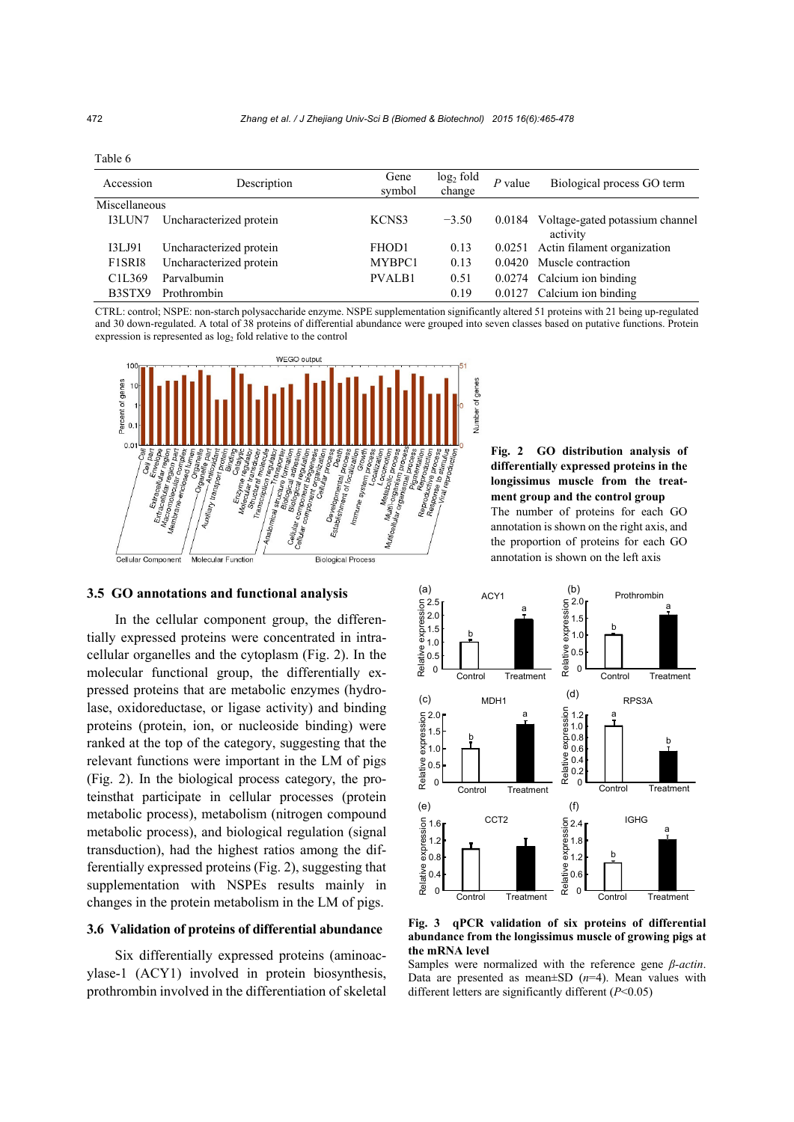| Accession                       | Description             | Gene<br>symbol | $log2$ fold<br>change | $P$ value | Biological process GO term                  |
|---------------------------------|-------------------------|----------------|-----------------------|-----------|---------------------------------------------|
| Miscellaneous                   |                         |                |                       |           |                                             |
| I3LUN7                          | Uncharacterized protein | KCNS3          | $-3.50$               | 0.0184    | Voltage-gated potassium channel<br>activity |
| I3LJ91                          | Uncharacterized protein | FHOD1          | 0.13                  | 0.0251    | Actin filament organization                 |
| F1SRI8                          | Uncharacterized protein | MYBPC1         | 0.13                  | 0.0420    | Muscle contraction                          |
| C <sub>1</sub> L <sub>369</sub> | Parvalbumin             | <b>PVALB1</b>  | 0.51                  | 0.0274    | Calcium ion binding                         |
| B3STX9                          | Prothrombin             |                | 0.19                  | 0.0127    | Calcium ion binding                         |

CTRL: control; NSPE: non-starch polysaccharide enzyme. NSPE supplementation significantly altered 51 proteins with 21 being up-regulated and 30 down-regulated. A total of 38 proteins of differential abundance were grouped into seven classes based on putative functions. Protein expression is represented as log<sub>2</sub> fold relative to the control



# **3.5 GO annotations and functional analysis**

In the cellular component group, the differentially expressed proteins were concentrated in intracellular organelles and the cytoplasm (Fig. 2). In the molecular functional group, the differentially expressed proteins that are metabolic enzymes (hydrolase, oxidoreductase, or ligase activity) and binding proteins (protein, ion, or nucleoside binding) were ranked at the top of the category, suggesting that the relevant functions were important in the LM of pigs (Fig. 2). In the biological process category, the proteinsthat participate in cellular processes (protein metabolic process), metabolism (nitrogen compound metabolic process), and biological regulation (signal transduction), had the highest ratios among the differentially expressed proteins (Fig. 2), suggesting that supplementation with NSPEs results mainly in changes in the protein metabolism in the LM of pigs.

#### **3.6 Validation of proteins of differential abundance**

Six differentially expressed proteins (aminoacylase-1 (ACY1) involved in protein biosynthesis, prothrombin involved in the differentiation of skeletal

**Fig. 2 GO distribution analysis of differentially expressed proteins in the longissimus muscle from the treatment group and the control group**  The number of proteins for each GO annotation is shown on the right axis, and the proportion of proteins for each GO annotation is shown on the left axis



**Fig. 3 qPCR validation of six proteins of differential abundance from the longissimus muscle of growing pigs at the mRNA level** 

Samples were normalized with the reference gene *β-actin*. Data are presented as mean±SD (*n*=4). Mean values with different letters are significantly different (*P*<0.05)

Table 6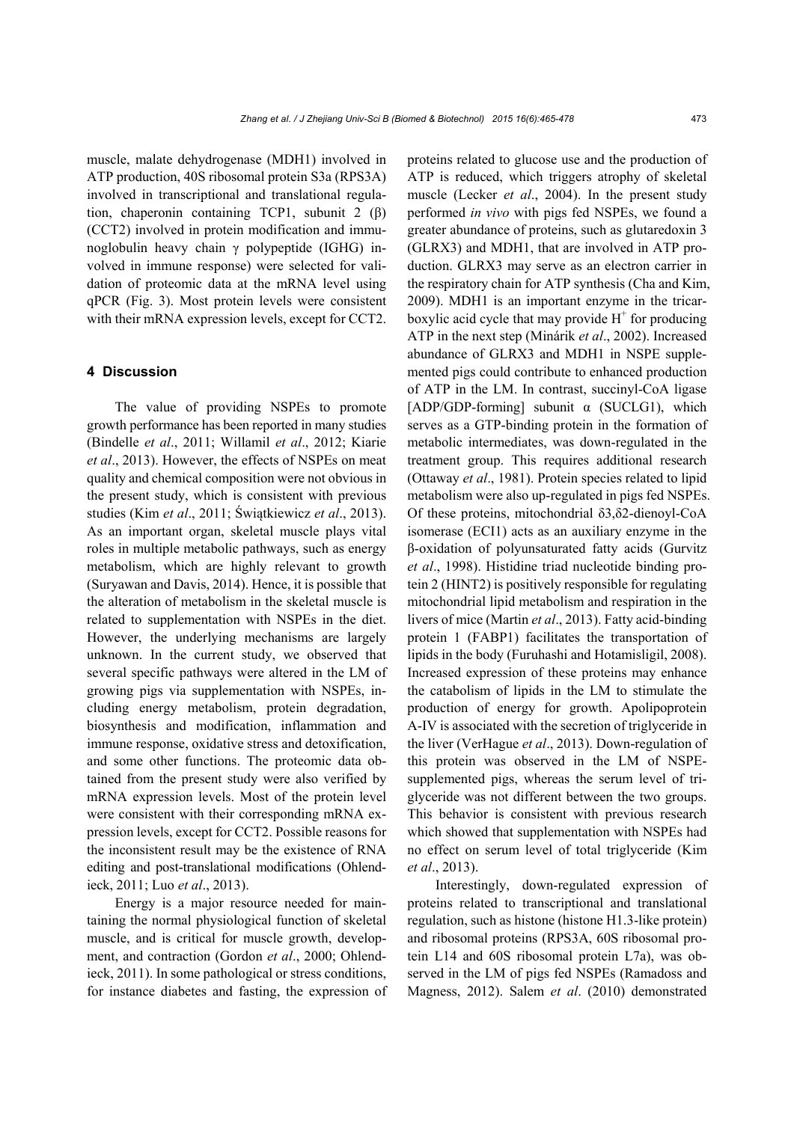muscle, malate dehydrogenase (MDH1) involved in ATP production, 40S ribosomal protein S3a (RPS3A) involved in transcriptional and translational regulation, chaperonin containing TCP1, subunit 2 (β) (CCT2) involved in protein modification and immunoglobulin heavy chain γ polypeptide (IGHG) involved in immune response) were selected for validation of proteomic data at the mRNA level using qPCR (Fig. 3). Most protein levels were consistent with their mRNA expression levels, except for CCT2.

# **4 Discussion**

The value of providing NSPEs to promote growth performance has been reported in many studies (Bindelle *et al*., 2011; Willamil *et al*., 2012; Kiarie *et al*., 2013). However, the effects of NSPEs on meat quality and chemical composition were not obvious in the present study, which is consistent with previous studies (Kim *et al*., 2011; Świątkiewicz *et al*., 2013). As an important organ, skeletal muscle plays vital roles in multiple metabolic pathways, such as energy metabolism, which are highly relevant to growth (Suryawan and Davis, 2014). Hence, it is possible that the alteration of metabolism in the skeletal muscle is related to supplementation with NSPEs in the diet. However, the underlying mechanisms are largely unknown. In the current study, we observed that several specific pathways were altered in the LM of growing pigs via supplementation with NSPEs, including energy metabolism, protein degradation, biosynthesis and modification, inflammation and immune response, oxidative stress and detoxification, and some other functions. The proteomic data obtained from the present study were also verified by mRNA expression levels. Most of the protein level were consistent with their corresponding mRNA expression levels, except for CCT2. Possible reasons for the inconsistent result may be the existence of RNA editing and post-translational modifications (Ohlendieck, 2011; Luo *et al*., 2013).

Energy is a major resource needed for maintaining the normal physiological function of skeletal muscle, and is critical for muscle growth, development, and contraction (Gordon *et al*., 2000; Ohlendieck, 2011). In some pathological or stress conditions, for instance diabetes and fasting, the expression of proteins related to glucose use and the production of ATP is reduced, which triggers atrophy of skeletal muscle (Lecker *et al*., 2004). In the present study performed *in vivo* with pigs fed NSPEs, we found a greater abundance of proteins, such as glutaredoxin 3 (GLRX3) and MDH1, that are involved in ATP production. GLRX3 may serve as an electron carrier in the respiratory chain for ATP synthesis (Cha and Kim, 2009). MDH1 is an important enzyme in the tricarboxylic acid cycle that may provide  $H^+$  for producing ATP in the next step (Minárik *et al*., 2002). Increased abundance of GLRX3 and MDH1 in NSPE supplemented pigs could contribute to enhanced production of ATP in the LM. In contrast, succinyl-CoA ligase [ADP/GDP-forming] subunit α (SUCLG1), which serves as a GTP-binding protein in the formation of metabolic intermediates, was down-regulated in the treatment group. This requires additional research (Ottaway *et al*., 1981). Protein species related to lipid metabolism were also up-regulated in pigs fed NSPEs. Of these proteins, mitochondrial δ3,δ2-dienoyl-CoA isomerase (ECI1) acts as an auxiliary enzyme in the β-oxidation of polyunsaturated fatty acids (Gurvitz *et al*., 1998). Histidine triad nucleotide binding protein 2 (HINT2) is positively responsible for regulating mitochondrial lipid metabolism and respiration in the livers of mice (Martin *et al*., 2013). Fatty acid-binding protein 1 (FABP1) facilitates the transportation of lipids in the body (Furuhashi and Hotamisligil, 2008). Increased expression of these proteins may enhance the catabolism of lipids in the LM to stimulate the production of energy for growth. Apolipoprotein A-IV is associated with the secretion of triglyceride in the liver (VerHague *et al*., 2013). Down-regulation of this protein was observed in the LM of NSPEsupplemented pigs, whereas the serum level of triglyceride was not different between the two groups. This behavior is consistent with previous research which showed that supplementation with NSPEs had no effect on serum level of total triglyceride (Kim *et al*., 2013).

Interestingly, down-regulated expression of proteins related to transcriptional and translational regulation, such as histone (histone H1.3-like protein) and ribosomal proteins (RPS3A, 60S ribosomal protein L14 and 60S ribosomal protein L7a), was observed in the LM of pigs fed NSPEs (Ramadoss and Magness, 2012). Salem *et al*. (2010) demonstrated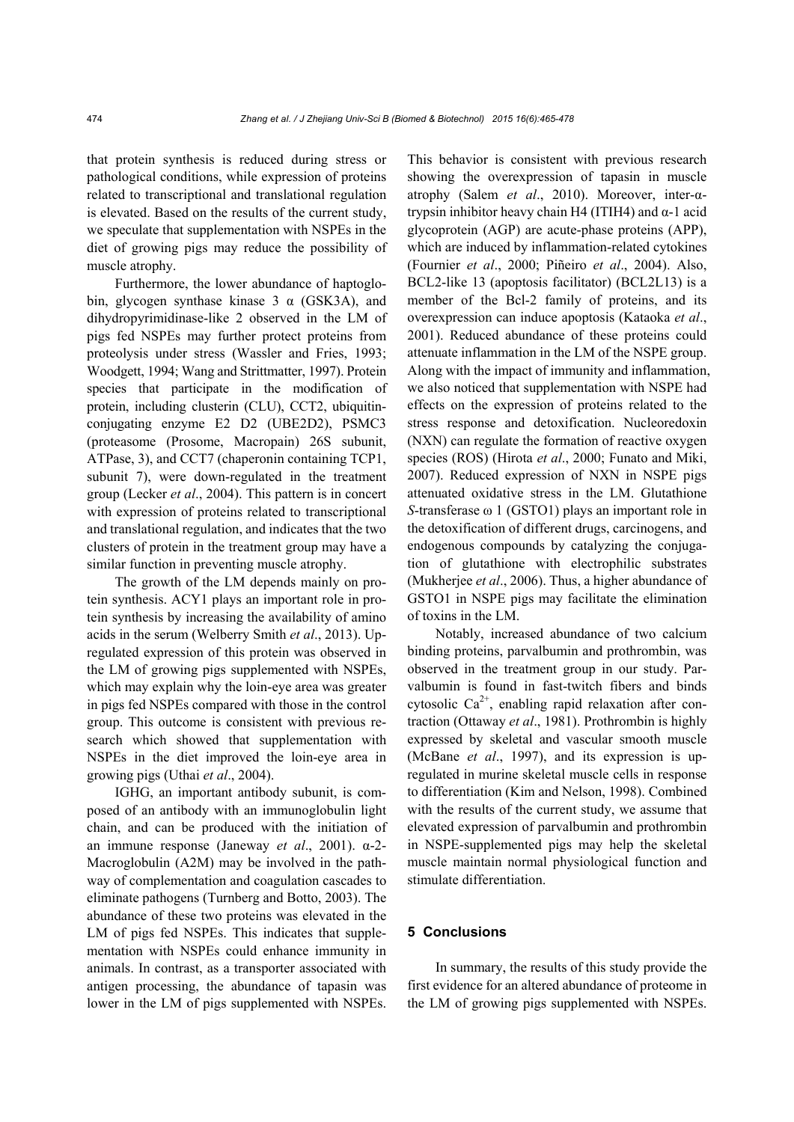that protein synthesis is reduced during stress or pathological conditions, while expression of proteins related to transcriptional and translational regulation is elevated. Based on the results of the current study, we speculate that supplementation with NSPEs in the diet of growing pigs may reduce the possibility of muscle atrophy.

Furthermore, the lower abundance of haptoglobin, glycogen synthase kinase  $3 \alpha$  (GSK3A), and dihydropyrimidinase-like 2 observed in the LM of pigs fed NSPEs may further protect proteins from proteolysis under stress (Wassler and Fries, 1993; Woodgett, 1994; Wang and Strittmatter, 1997). Protein species that participate in the modification of protein, including clusterin (CLU), CCT2, ubiquitinconjugating enzyme E2 D2 (UBE2D2), PSMC3 (proteasome (Prosome, Macropain) 26S subunit, ATPase, 3), and CCT7 (chaperonin containing TCP1, subunit 7), were down-regulated in the treatment group (Lecker *et al*., 2004). This pattern is in concert with expression of proteins related to transcriptional and translational regulation, and indicates that the two clusters of protein in the treatment group may have a similar function in preventing muscle atrophy.

The growth of the LM depends mainly on protein synthesis. ACY1 plays an important role in protein synthesis by increasing the availability of amino acids in the serum (Welberry Smith *et al*., 2013). Upregulated expression of this protein was observed in the LM of growing pigs supplemented with NSPEs, which may explain why the loin-eye area was greater in pigs fed NSPEs compared with those in the control group. This outcome is consistent with previous research which showed that supplementation with NSPEs in the diet improved the loin-eye area in growing pigs (Uthai *et al*., 2004).

IGHG, an important antibody subunit, is composed of an antibody with an immunoglobulin light chain, and can be produced with the initiation of an immune response (Janeway *et al*., 2001). α-2- Macroglobulin (A2M) may be involved in the pathway of complementation and coagulation cascades to eliminate pathogens (Turnberg and Botto, 2003). The abundance of these two proteins was elevated in the LM of pigs fed NSPEs. This indicates that supplementation with NSPEs could enhance immunity in animals. In contrast, as a transporter associated with antigen processing, the abundance of tapasin was lower in the LM of pigs supplemented with NSPEs.

This behavior is consistent with previous research showing the overexpression of tapasin in muscle atrophy (Salem *et al*., 2010). Moreover, inter-αtrypsin inhibitor heavy chain H4 (ITIH4) and α-1 acid glycoprotein (AGP) are acute-phase proteins (APP), which are induced by inflammation-related cytokines (Fournier *et al*., 2000; Piñeiro *et al*., 2004). Also, BCL2-like 13 (apoptosis facilitator) (BCL2L13) is a member of the Bcl-2 family of proteins, and its overexpression can induce apoptosis (Kataoka *et al*., 2001). Reduced abundance of these proteins could attenuate inflammation in the LM of the NSPE group. Along with the impact of immunity and inflammation, we also noticed that supplementation with NSPE had effects on the expression of proteins related to the stress response and detoxification. Nucleoredoxin (NXN) can regulate the formation of reactive oxygen species (ROS) (Hirota *et al*., 2000; Funato and Miki, 2007). Reduced expression of NXN in NSPE pigs attenuated oxidative stress in the LM. Glutathione *S*-transferase ω 1 (GSTO1) plays an important role in the detoxification of different drugs, carcinogens, and endogenous compounds by catalyzing the conjugation of glutathione with electrophilic substrates (Mukherjee *et al*., 2006). Thus, a higher abundance of GSTO1 in NSPE pigs may facilitate the elimination of toxins in the LM.

Notably, increased abundance of two calcium binding proteins, parvalbumin and prothrombin, was observed in the treatment group in our study. Parvalbumin is found in fast-twitch fibers and binds cytosolic  $Ca^{2+}$ , enabling rapid relaxation after contraction (Ottaway *et al*., 1981). Prothrombin is highly expressed by skeletal and vascular smooth muscle (McBane *et al*., 1997), and its expression is upregulated in murine skeletal muscle cells in response to differentiation (Kim and Nelson, 1998). Combined with the results of the current study, we assume that elevated expression of parvalbumin and prothrombin in NSPE-supplemented pigs may help the skeletal muscle maintain normal physiological function and stimulate differentiation.

## **5 Conclusions**

In summary, the results of this study provide the first evidence for an altered abundance of proteome in the LM of growing pigs supplemented with NSPEs.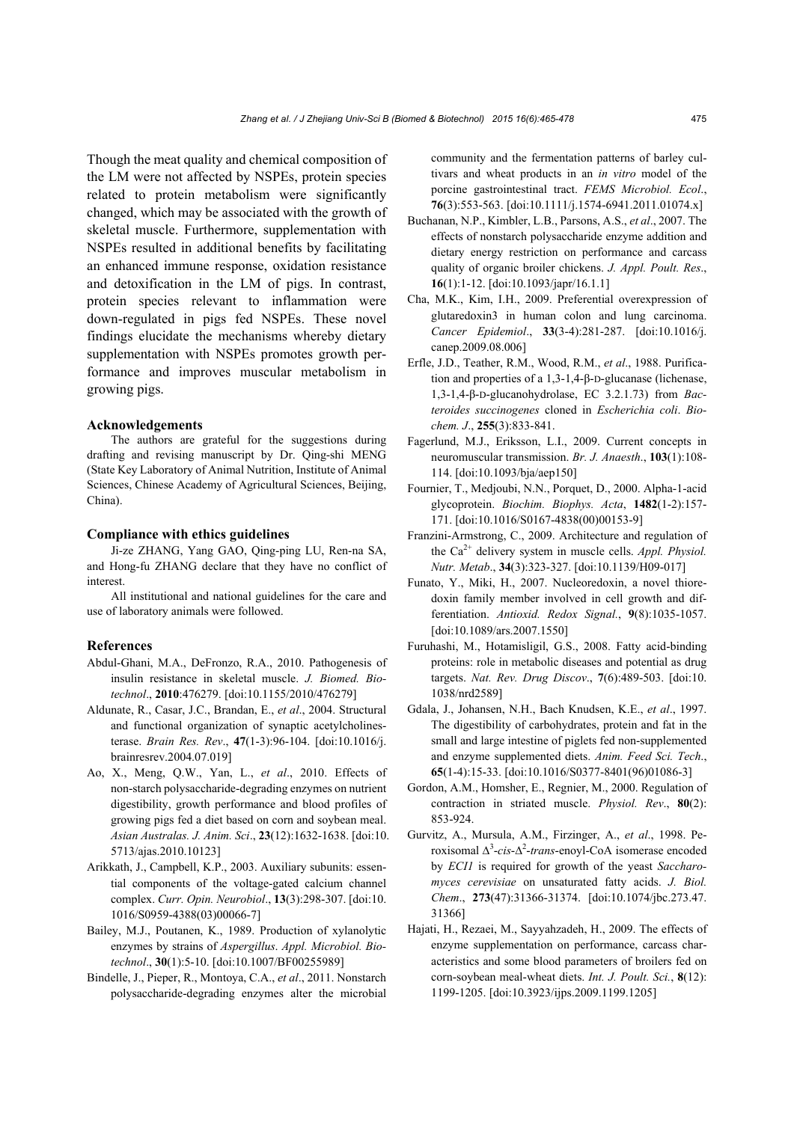Though the meat quality and chemical composition of the LM were not affected by NSPEs, protein species related to protein metabolism were significantly changed, which may be associated with the growth of skeletal muscle. Furthermore, supplementation with NSPEs resulted in additional benefits by facilitating an enhanced immune response, oxidation resistance and detoxification in the LM of pigs. In contrast, protein species relevant to inflammation were down-regulated in pigs fed NSPEs. These novel findings elucidate the mechanisms whereby dietary supplementation with NSPEs promotes growth performance and improves muscular metabolism in growing pigs.

#### **Acknowledgements**

The authors are grateful for the suggestions during drafting and revising manuscript by Dr. Qing-shi MENG (State Key Laboratory of Animal Nutrition, Institute of Animal Sciences, Chinese Academy of Agricultural Sciences, Beijing, China).

# **Compliance with ethics guidelines**

Ji-ze ZHANG, Yang GAO, Qing-ping LU, Ren-na SA, and Hong-fu ZHANG declare that they have no conflict of interest.

All institutional and national guidelines for the care and use of laboratory animals were followed.

#### **References**

- Abdul-Ghani, M.A., DeFronzo, R.A., 2010. Pathogenesis of insulin resistance in skeletal muscle. *J. Biomed. Biotechnol*., **2010**:476279. [doi:10.1155/2010/476279]
- Aldunate, R., Casar, J.C., Brandan, E., *et al*., 2004. Structural and functional organization of synaptic acetylcholinesterase. *Brain Res. Rev*., **47**(1-3):96-104. [doi:10.1016/j. brainresrev.2004.07.019]
- Ao, X., Meng, Q.W., Yan, L., *et al*., 2010. Effects of non-starch polysaccharide-degrading enzymes on nutrient digestibility, growth performance and blood profiles of growing pigs fed a diet based on corn and soybean meal. *Asian Australas. J. Anim. Sci*., **23**(12):1632-1638. [doi:10. 5713/ajas.2010.10123]
- Arikkath, J., Campbell, K.P., 2003. Auxiliary subunits: essential components of the voltage-gated calcium channel complex. *Curr. Opin. Neurobiol*., **13**(3):298-307. [doi:10. 1016/S0959-4388(03)00066-7]
- Bailey, M.J., Poutanen, K., 1989. Production of xylanolytic enzymes by strains of *Aspergillus*. *Appl. Microbiol. Biotechnol*., **30**(1):5-10. [doi:10.1007/BF00255989]
- Bindelle, J., Pieper, R., Montoya, C.A., *et al*., 2011. Nonstarch polysaccharide-degrading enzymes alter the microbial

community and the fermentation patterns of barley cultivars and wheat products in an *in vitro* model of the porcine gastrointestinal tract. *FEMS Microbiol. Ecol*., **76**(3):553-563. [doi:10.1111/j.1574-6941.2011.01074.x]

- Buchanan, N.P., Kimbler, L.B., Parsons, A.S., *et al*., 2007. The effects of nonstarch polysaccharide enzyme addition and dietary energy restriction on performance and carcass quality of organic broiler chickens. *J. Appl. Poult. Res*., **16**(1):1-12. [doi:10.1093/japr/16.1.1]
- Cha, M.K., Kim, I.H., 2009. Preferential overexpression of glutaredoxin3 in human colon and lung carcinoma. *Cancer Epidemiol*., **33**(3-4):281-287. [doi:10.1016/j. canep.2009.08.006]
- Erfle, J.D., Teather, R.M., Wood, R.M., *et al*., 1988. Purification and properties of a 1,3-1,4-β-D-glucanase (lichenase, 1,3-1,4-β-D-glucanohydrolase, EC 3.2.1.73) from *Bacteroides succinogenes* cloned in *Escherichia coli*. *Biochem. J*., **255**(3):833-841.
- Fagerlund, M.J., Eriksson, L.I., 2009. Current concepts in neuromuscular transmission. *Br. J. Anaesth*., **103**(1):108- 114. [doi:10.1093/bja/aep150]
- Fournier, T., Medjoubi, N.N., Porquet, D., 2000. Alpha-1-acid glycoprotein. *Biochim. Biophys. Acta*, **1482**(1-2):157- 171. [doi:10.1016/S0167-4838(00)00153-9]
- Franzini-Armstrong, C., 2009. Architecture and regulation of the Ca2+ delivery system in muscle cells. *Appl. Physiol. Nutr. Metab*., **34**(3):323-327. [doi:10.1139/H09-017]
- Funato, Y., Miki, H., 2007. Nucleoredoxin, a novel thioredoxin family member involved in cell growth and differentiation. *Antioxid. Redox Signal.*, **9**(8):1035-1057. [doi:10.1089/ars.2007.1550]
- Furuhashi, M., Hotamisligil, G.S., 2008. Fatty acid-binding proteins: role in metabolic diseases and potential as drug targets. *Nat. Rev. Drug Discov*., **7**(6):489-503. [doi:10. 1038/nrd2589]
- Gdala, J., Johansen, N.H., Bach Knudsen, K.E., *et al*., 1997. The digestibility of carbohydrates, protein and fat in the small and large intestine of piglets fed non-supplemented and enzyme supplemented diets. *Anim. Feed Sci. Tech*., **65**(1-4):15-33. [doi:10.1016/S0377-8401(96)01086-3]
- Gordon, A.M., Homsher, E., Regnier, M., 2000. Regulation of contraction in striated muscle. *Physiol. Rev*., **80**(2): 853-924.
- Gurvitz, A., Mursula, A.M., Firzinger, A., *et al*., 1998. Peroxisomal ∆<sup>3</sup> -*cis*-∆<sup>2</sup> -*trans*-enoyl-CoA isomerase encoded by *ECI1* is required for growth of the yeast *Saccharomyces cerevisiae* on unsaturated fatty acids. *J. Biol. Chem*., **273**(47):31366-31374. [doi:10.1074/jbc.273.47. 31366]
- Hajati, H., Rezaei, M., Sayyahzadeh, H., 2009. The effects of enzyme supplementation on performance, carcass characteristics and some blood parameters of broilers fed on corn-soybean meal-wheat diets. *Int. J. Poult. Sci.*, **8**(12): 1199-1205. [doi:10.3923/ijps.2009.1199.1205]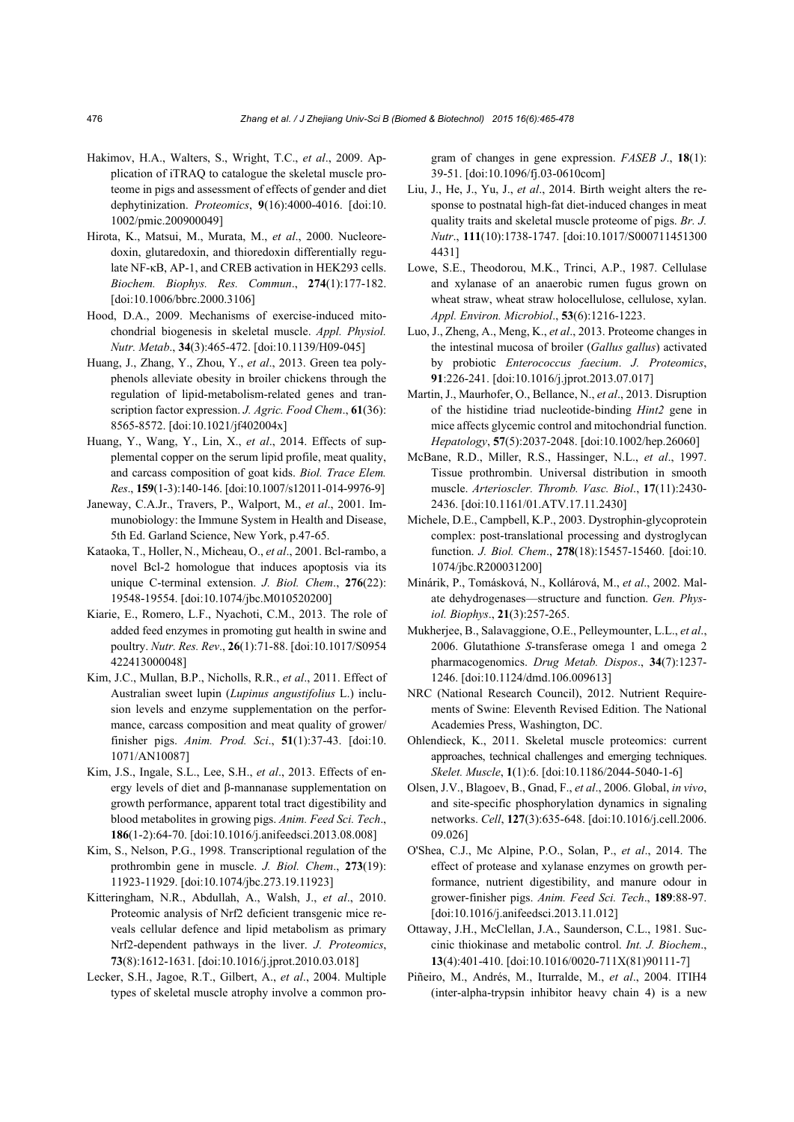- Hakimov, H.A., Walters, S., Wright, T.C., *et al*., 2009. Application of iTRAQ to catalogue the skeletal muscle proteome in pigs and assessment of effects of gender and diet dephytinization. *Proteomics*, **9**(16):4000-4016. [doi:10. 1002/pmic.200900049]
- Hirota, K., Matsui, M., Murata, M., *et al*., 2000. Nucleoredoxin, glutaredoxin, and thioredoxin differentially regulate NF-κB, AP-1, and CREB activation in HEK293 cells. *Biochem. Biophys. Res. Commun*., **274**(1):177-182. [doi:10.1006/bbrc.2000.3106]
- Hood, D.A., 2009. Mechanisms of exercise-induced mitochondrial biogenesis in skeletal muscle. *Appl. Physiol. Nutr. Metab*., **34**(3):465-472. [doi:10.1139/H09-045]
- Huang, J., Zhang, Y., Zhou, Y., *et al*., 2013. Green tea polyphenols alleviate obesity in broiler chickens through the regulation of lipid-metabolism-related genes and transcription factor expression. *J. Agric. Food Chem*., **61**(36): 8565-8572. [doi:10.1021/jf402004x]
- Huang, Y., Wang, Y., Lin, X., *et al*., 2014. Effects of supplemental copper on the serum lipid profile, meat quality, and carcass composition of goat kids. *Biol. Trace Elem. Res*., **159**(1-3):140-146. [doi:10.1007/s12011-014-9976-9]
- Janeway, C.A.Jr., Travers, P., Walport, M., *et al*., 2001. Immunobiology: the Immune System in Health and Disease, 5th Ed. Garland Science, New York, p.47-65.
- Kataoka, T., Holler, N., Micheau, O., *et al*., 2001. Bcl-rambo, a novel Bcl-2 homologue that induces apoptosis via its unique C-terminal extension. *J. Biol. Chem*., **276**(22): 19548-19554. [doi:10.1074/jbc.M010520200]
- Kiarie, E., Romero, L.F., Nyachoti, C.M., 2013. The role of added feed enzymes in promoting gut health in swine and poultry. *Nutr. Res. Rev*., **26**(1):71-88. [doi:10.1017/S0954 422413000048]
- Kim, J.C., Mullan, B.P., Nicholls, R.R., *et al*., 2011. Effect of Australian sweet lupin (*Lupinus angustifolius* L.) inclusion levels and enzyme supplementation on the performance, carcass composition and meat quality of grower/ finisher pigs. *Anim. Prod. Sci*., **51**(1):37-43. [doi:10. 1071/AN10087]
- Kim, J.S., Ingale, S.L., Lee, S.H., *et al*., 2013. Effects of energy levels of diet and β-mannanase supplementation on growth performance, apparent total tract digestibility and blood metabolites in growing pigs. *Anim. Feed Sci. Tech*., **186**(1-2):64-70. [doi:10.1016/j.anifeedsci.2013.08.008]
- Kim, S., Nelson, P.G., 1998. Transcriptional regulation of the prothrombin gene in muscle. *J. Biol. Chem*., **273**(19): 11923-11929. [doi:10.1074/jbc.273.19.11923]
- Kitteringham, N.R., Abdullah, A., Walsh, J., *et al*., 2010. Proteomic analysis of Nrf2 deficient transgenic mice reveals cellular defence and lipid metabolism as primary Nrf2-dependent pathways in the liver. *J. Proteomics*, **73**(8):1612-1631. [doi:10.1016/j.jprot.2010.03.018]
- Lecker, S.H., Jagoe, R.T., Gilbert, A., *et al*., 2004. Multiple types of skeletal muscle atrophy involve a common pro-

gram of changes in gene expression. *FASEB J*., **18**(1): 39-51. [doi:10.1096/fj.03-0610com]

- Liu, J., He, J., Yu, J., *et al*., 2014. Birth weight alters the response to postnatal high-fat diet-induced changes in meat quality traits and skeletal muscle proteome of pigs. *Br. J. Nutr*., **111**(10):1738-1747. [doi:10.1017/S000711451300 4431]
- Lowe, S.E., Theodorou, M.K., Trinci, A.P., 1987. Cellulase and xylanase of an anaerobic rumen fugus grown on wheat straw, wheat straw holocellulose, cellulose, xylan. *Appl. Environ. Microbiol*., **53**(6):1216-1223.
- Luo, J., Zheng, A., Meng, K., *et al*., 2013. Proteome changes in the intestinal mucosa of broiler (*Gallus gallus*) activated by probiotic *Enterococcus faecium*. *J. Proteomics*, **91**:226-241. [doi:10.1016/j.jprot.2013.07.017]
- Martin, J., Maurhofer, O., Bellance, N., *et al*., 2013. Disruption of the histidine triad nucleotide-binding *Hint2* gene in mice affects glycemic control and mitochondrial function. *Hepatology*, **57**(5):2037-2048. [doi:10.1002/hep.26060]
- McBane, R.D., Miller, R.S., Hassinger, N.L., *et al*., 1997. Tissue prothrombin. Universal distribution in smooth muscle. *Arterioscler. Thromb. Vasc. Biol*., **17**(11):2430- 2436. [doi:10.1161/01.ATV.17.11.2430]
- Michele, D.E., Campbell, K.P., 2003. Dystrophin-glycoprotein complex: post-translational processing and dystroglycan function. *J. Biol. Chem*., **278**(18):15457-15460. [doi:10. 1074/jbc.R200031200]
- Minárik, P., Tomásková, N., Kollárová, M., *et al*., 2002. Malate dehydrogenases—structure and function. *Gen. Physiol. Biophys*., **21**(3):257-265.
- Mukherjee, B., Salavaggione, O.E., Pelleymounter, L.L., *et al*., 2006. Glutathione *S*-transferase omega 1 and omega 2 pharmacogenomics. *Drug Metab. Dispos*., **34**(7):1237- 1246. [doi:10.1124/dmd.106.009613]
- NRC (National Research Council), 2012. Nutrient Requirements of Swine: Eleventh Revised Edition. The National Academies Press, Washington, DC.
- Ohlendieck, K., 2011. Skeletal muscle proteomics: current approaches, technical challenges and emerging techniques. *Skelet. Muscle*, **1**(1):6. [doi:10.1186/2044-5040-1-6]
- Olsen, J.V., Blagoev, B., Gnad, F., *et al*., 2006. Global, *in vivo*, and site-specific phosphorylation dynamics in signaling networks. *Cell*, **127**(3):635-648. [doi:10.1016/j.cell.2006. 09.026]
- O'Shea, C.J., Mc Alpine, P.O., Solan, P., *et al*., 2014. The effect of protease and xylanase enzymes on growth performance, nutrient digestibility, and manure odour in grower-finisher pigs. *Anim. Feed Sci. Tech*., **189**:88-97. [doi:10.1016/j.anifeedsci.2013.11.012]
- Ottaway, J.H., McClellan, J.A., Saunderson, C.L., 1981. Succinic thiokinase and metabolic control. *Int. J. Biochem*., **13**(4):401-410. [doi:10.1016/0020-711X(81)90111-7]
- Piñeiro, M., Andrés, M., Iturralde, M., *et al*., 2004. ITIH4 (inter-alpha-trypsin inhibitor heavy chain 4) is a new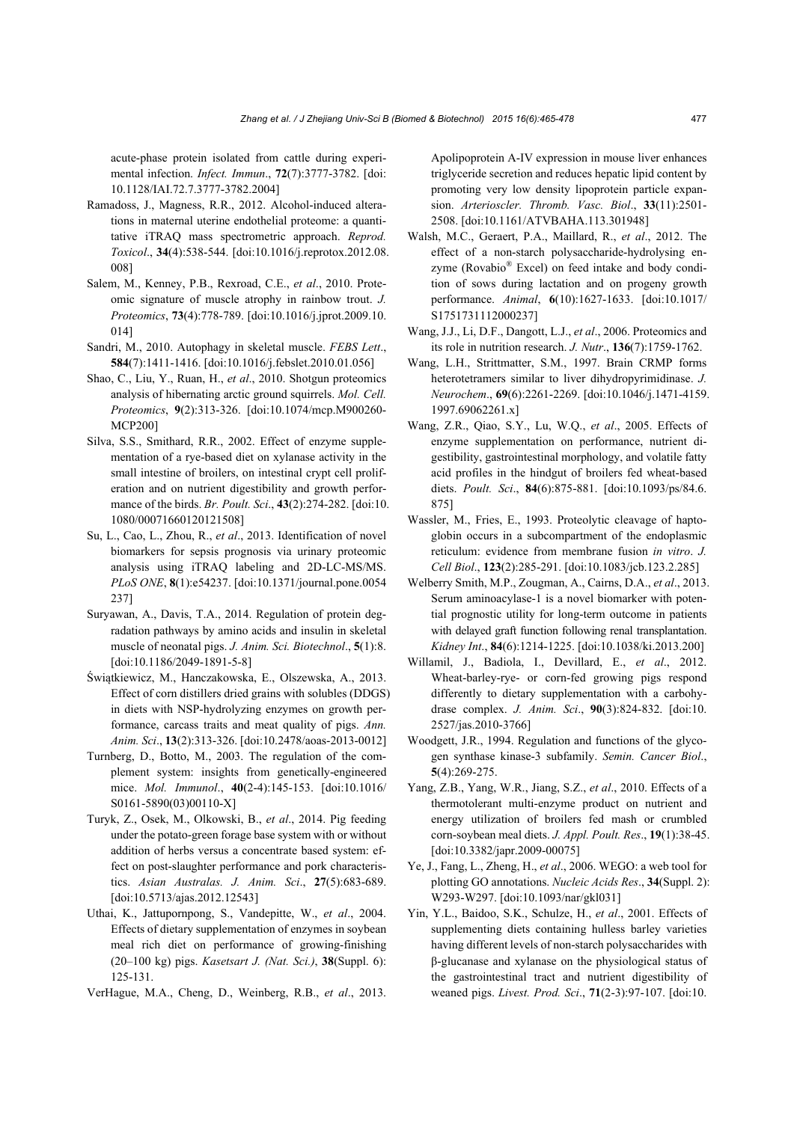acute-phase protein isolated from cattle during experimental infection. *Infect. Immun*., **72**(7):3777-3782. [doi: 10.1128/IAI.72.7.3777-3782.2004]

- Ramadoss, J., Magness, R.R., 2012. Alcohol-induced alterations in maternal uterine endothelial proteome: a quantitative iTRAQ mass spectrometric approach. *Reprod. Toxicol*., **34**(4):538-544. [doi:10.1016/j.reprotox.2012.08. 008]
- Salem, M., Kenney, P.B., Rexroad, C.E., *et al*., 2010. Proteomic signature of muscle atrophy in rainbow trout. *J. Proteomics*, **73**(4):778-789. [doi:10.1016/j.jprot.2009.10. 014]
- Sandri, M., 2010. Autophagy in skeletal muscle. *FEBS Lett*., **584**(7):1411-1416. [doi:10.1016/j.febslet.2010.01.056]
- Shao, C., Liu, Y., Ruan, H., *et al*., 2010. Shotgun proteomics analysis of hibernating arctic ground squirrels. *Mol. Cell. Proteomics*, **9**(2):313-326. [doi:10.1074/mcp.M900260- MCP200]
- Silva, S.S., Smithard, R.R., 2002. Effect of enzyme supplementation of a rye-based diet on xylanase activity in the small intestine of broilers, on intestinal crypt cell proliferation and on nutrient digestibility and growth performance of the birds. *Br. Poult. Sci*., **43**(2):274-282. [doi:10. 1080/00071660120121508]
- Su, L., Cao, L., Zhou, R., *et al*., 2013. Identification of novel biomarkers for sepsis prognosis via urinary proteomic analysis using iTRAQ labeling and 2D-LC-MS/MS. *PLoS ONE*, **8**(1):e54237. [doi:10.1371/journal.pone.0054 237]
- Suryawan, A., Davis, T.A., 2014. Regulation of protein degradation pathways by amino acids and insulin in skeletal muscle of neonatal pigs. *J. Anim. Sci. Biotechnol*., **5**(1):8. [doi:10.1186/2049-1891-5-8]
- Świątkiewicz, M., Hanczakowska, E., Olszewska, A., 2013. Effect of corn distillers dried grains with solubles (DDGS) in diets with NSP-hydrolyzing enzymes on growth performance, carcass traits and meat quality of pigs. *Ann. Anim. Sci*., **13**(2):313-326. [doi:10.2478/aoas-2013-0012]
- Turnberg, D., Botto, M., 2003. The regulation of the complement system: insights from genetically-engineered mice. *Mol. Immunol*., **40**(2-4):145-153. [doi:10.1016/ S0161-5890(03)00110-X]
- Turyk, Z., Osek, M., Olkowski, B., *et al*., 2014. Pig feeding under the potato-green forage base system with or without addition of herbs versus a concentrate based system: effect on post-slaughter performance and pork characteristics. *Asian Australas. J. Anim. Sci*., **27**(5):683-689. [doi:10.5713/ajas.2012.12543]
- Uthai, K., Jattupornpong, S., Vandepitte, W., *et al*., 2004. Effects of dietary supplementation of enzymes in soybean meal rich diet on performance of growing-finishing (20–100 kg) pigs. *Kasetsart J. (Nat. Sci.)*, **38**(Suppl. 6): 125-131.
- VerHague, M.A., Cheng, D., Weinberg, R.B., *et al*., 2013.

Apolipoprotein A-IV expression in mouse liver enhances triglyceride secretion and reduces hepatic lipid content by promoting very low density lipoprotein particle expansion. *Arterioscler. Thromb. Vasc. Biol*., **33**(11):2501- 2508. [doi:10.1161/ATVBAHA.113.301948]

- Walsh, M.C., Geraert, P.A., Maillard, R., *et al*., 2012. The effect of a non-starch polysaccharide-hydrolysing enzyme (Rovabio® Excel) on feed intake and body condition of sows during lactation and on progeny growth performance. *Animal*, **6**(10):1627-1633. [doi:10.1017/ S1751731112000237]
- Wang, J.J., Li, D.F., Dangott, L.J., *et al*., 2006. Proteomics and its role in nutrition research. *J. Nutr*., **136**(7):1759-1762.
- Wang, L.H., Strittmatter, S.M., 1997. Brain CRMP forms heterotetramers similar to liver dihydropyrimidinase. *J. Neurochem*., **69**(6):2261-2269. [doi:10.1046/j.1471-4159. 1997.69062261.x]
- Wang, Z.R., Qiao, S.Y., Lu, W.Q., *et al*., 2005. Effects of enzyme supplementation on performance, nutrient digestibility, gastrointestinal morphology, and volatile fatty acid profiles in the hindgut of broilers fed wheat-based diets. *Poult. Sci*., **84**(6):875-881. [doi:10.1093/ps/84.6. 875]
- Wassler, M., Fries, E., 1993. Proteolytic cleavage of haptoglobin occurs in a subcompartment of the endoplasmic reticulum: evidence from membrane fusion *in vitro*. *J. Cell Biol*., **123**(2):285-291. [doi:10.1083/jcb.123.2.285]
- Welberry Smith, M.P., Zougman, A., Cairns, D.A., *et al*., 2013. Serum aminoacylase-1 is a novel biomarker with potential prognostic utility for long-term outcome in patients with delayed graft function following renal transplantation. *Kidney Int*., **84**(6):1214-1225. [doi:10.1038/ki.2013.200]
- Willamil, J., Badiola, I., Devillard, E., *et al*., 2012. Wheat-barley-rye- or corn-fed growing pigs respond differently to dietary supplementation with a carbohydrase complex. *J. Anim. Sci*., **90**(3):824-832. [doi:10. 2527/jas.2010-3766]
- Woodgett, J.R., 1994. Regulation and functions of the glycogen synthase kinase-3 subfamily. *Semin. Cancer Biol*., **5**(4):269-275.
- Yang, Z.B., Yang, W.R., Jiang, S.Z., *et al*., 2010. Effects of a thermotolerant multi-enzyme product on nutrient and energy utilization of broilers fed mash or crumbled corn-soybean meal diets. *J. Appl. Poult. Res*., **19**(1):38-45. [doi:10.3382/japr.2009-00075]
- Ye, J., Fang, L., Zheng, H., *et al*., 2006. WEGO: a web tool for plotting GO annotations. *Nucleic Acids Res*., **34**(Suppl. 2): W293-W297. [doi:10.1093/nar/gkl031]
- Yin, Y.L., Baidoo, S.K., Schulze, H., *et al*., 2001. Effects of supplementing diets containing hulless barley varieties having different levels of non-starch polysaccharides with β-glucanase and xylanase on the physiological status of the gastrointestinal tract and nutrient digestibility of weaned pigs. *Livest. Prod. Sci*., **71**(2-3):97-107. [doi:10.